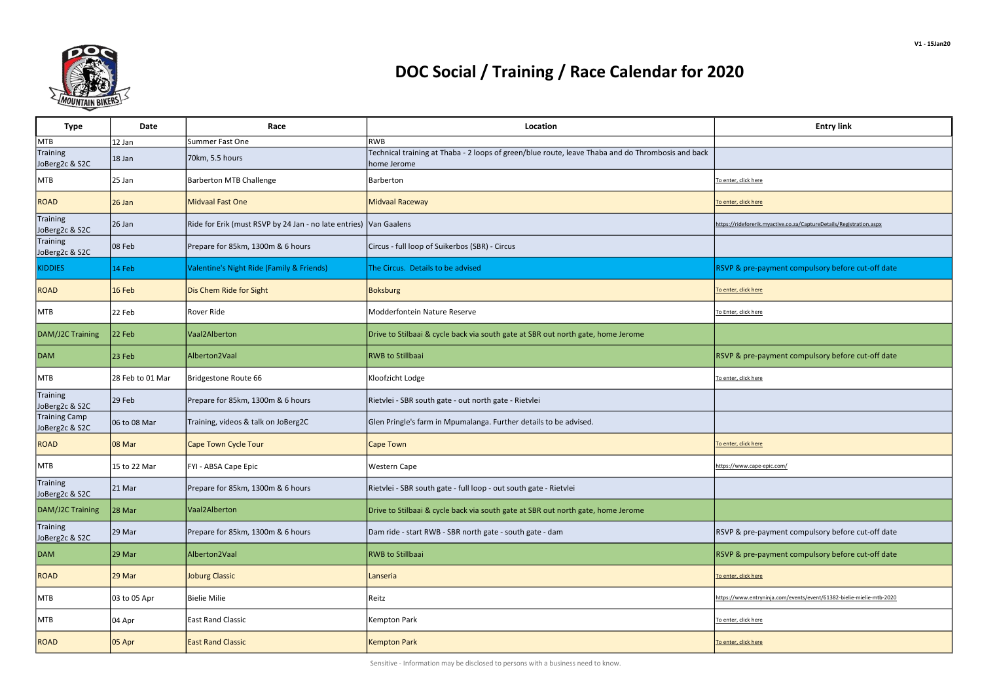

| <b>Type</b>                            | Date             | Race                                                                | Location                                                                                                         | <b>Entry link</b>                                                   |
|----------------------------------------|------------------|---------------------------------------------------------------------|------------------------------------------------------------------------------------------------------------------|---------------------------------------------------------------------|
| MTB                                    | 12 Jan           | Summer Fast One                                                     | <b>RWB</b>                                                                                                       |                                                                     |
| <b>Training</b><br>JoBerg2c & S2C      | 18 Jan           | 70km, 5.5 hours                                                     | Technical training at Thaba - 2 loops of green/blue route, leave Thaba and do Thrombosis and back<br>home Jerome |                                                                     |
| MTB                                    | 25 Jan           | <b>Barberton MTB Challenge</b>                                      | Barberton                                                                                                        | To enter, click here                                                |
| <b>ROAD</b>                            | 26 Jan           | <b>Midvaal Fast One</b>                                             | <b>Midvaal Raceway</b>                                                                                           | To enter, click here                                                |
| <b>Training</b><br>JoBerg2c & S2C      | 26 Jan           | Ride for Erik (must RSVP by 24 Jan - no late entries)   Van Gaalens |                                                                                                                  | https://rideforerik.myactive.co.za/CaptureDetails/Registration.aspx |
| <b>Training</b><br>JoBerg2c & S2C      | 08 Feb           | Prepare for 85km, 1300m & 6 hours                                   | Circus - full loop of Suikerbos (SBR) - Circus                                                                   |                                                                     |
| <b>IDDIES</b>                          | 14 Feb           | Valentine's Night Ride (Family & Friends)                           | The Circus. Details to be advised                                                                                | RSVP & pre-payment compulsory before cut-off date                   |
| <b>ROAD</b>                            | 16 Feb           | Dis Chem Ride for Sight                                             | <b>Boksburg</b>                                                                                                  | To enter, click here                                                |
| MTB                                    | 22 Feb           | Rover Ride                                                          | Modderfontein Nature Reserve                                                                                     | To Enter, click here                                                |
| DAM/J2C Training                       | $ 22$ Feb        | Vaal2Alberton                                                       | Drive to Stilbaai & cycle back via south gate at SBR out north gate, home Jerome                                 |                                                                     |
| <b>DAM</b>                             | 23 Feb           | Alberton2Vaal                                                       | <b>RWB</b> to Stillbaai                                                                                          | RSVP & pre-payment compulsory before cut-off date                   |
| MTB                                    | 28 Feb to 01 Mar | Bridgestone Route 66                                                | Kloofzicht Lodge                                                                                                 | To enter, click here                                                |
| <b>Training</b><br>JoBerg2c & S2C      | 29 Feb           | Prepare for 85km, 1300m & 6 hours                                   | Rietvlei - SBR south gate - out north gate - Rietvlei                                                            |                                                                     |
| <b>Training Camp</b><br>JoBerg2c & S2C | 06 to 08 Mar     | Training, videos & talk on JoBerg2C                                 | Glen Pringle's farm in Mpumalanga. Further details to be advised.                                                |                                                                     |
| <b>ROAD</b>                            | 08 Mar           | <b>Cape Town Cycle Tour</b>                                         | Cape Town                                                                                                        | To enter, click here                                                |
| MTB                                    | 15 to 22 Mar     | FYI - ABSA Cape Epic                                                | <b>Western Cape</b>                                                                                              | https://www.cape-epic.com/                                          |
| <b>Training</b><br>JoBerg2c & S2C      | 21 Mar           | Prepare for 85km, 1300m & 6 hours                                   | Rietvlei - SBR south gate - full loop - out south gate - Rietvlei                                                |                                                                     |
| DAM/J2C Training                       | 28 Mar           | Vaal2Alberton                                                       | Drive to Stilbaai & cycle back via south gate at SBR out north gate, home Jerome                                 |                                                                     |
| <b>Training</b><br>JoBerg2c & S2C      | 29 Mar           | Prepare for 85km, 1300m & 6 hours                                   | Dam ride - start RWB - SBR north gate - south gate - dam                                                         | RSVP & pre-payment compulsory before cut-off date                   |
| <b>DAM</b>                             | 29 Mar           | Alberton2Vaal                                                       | <b>RWB to Stillbaai</b>                                                                                          | RSVP & pre-payment compulsory before cut-off date                   |
| <b>ROAD</b>                            | 29 Mar           | <b>Joburg Classic</b>                                               | Lanseria                                                                                                         | To enter, click here                                                |
| MTB                                    | 03 to 05 Apr     | <b>Bielie Milie</b>                                                 | Reitz                                                                                                            | ttps://www.entryninja.com/events/event/61382-bielie-mielie-mtb-2020 |
| MTB                                    | 04 Apr           | <b>East Rand Classic</b>                                            | <b>Kempton Park</b>                                                                                              | To enter, click here                                                |
| <b>ROAD</b>                            | 05 Apr           | <b>East Rand Classic</b>                                            | <b>Kempton Park</b>                                                                                              | To enter, click here                                                |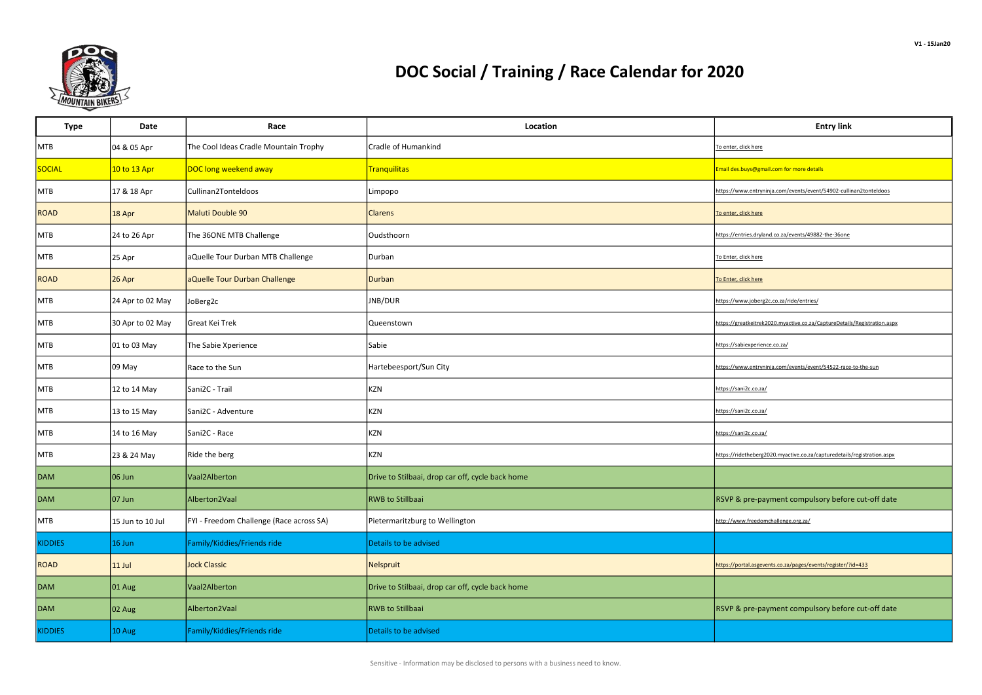

## DOC Social / Training / Race Calendar for 2020

| <b>Type</b>    | Date             | Race                                     | Location                                         | <b>Entry link</b>                                                        |
|----------------|------------------|------------------------------------------|--------------------------------------------------|--------------------------------------------------------------------------|
| MTB            | 04 & 05 Apr      | The Cool Ideas Cradle Mountain Trophy    | Cradle of Humankind                              | To enter, click here                                                     |
| <b>SOCIAL</b>  | 10 to 13 Apr     | DOC long weekend away                    | <b>Tranquilitas</b>                              | Email des.buys@gmail.com for more details                                |
| MTB            | 17 & 18 Apr      | Cullinan2Tonteldoos                      | Limpopo                                          | https://www.entryninja.com/events/event/54902-cullinan2tonteldoos        |
| <b>ROAD</b>    | 18 Apr           | <b>Maluti Double 90</b>                  | Clarens                                          | To enter, click here                                                     |
| MTB            | 24 to 26 Apr     | The 36ONE MTB Challenge                  | Oudsthoorn                                       | https://entries.dryland.co.za/events/49882-the-36one                     |
| MTB            | 25 Apr           | aQuelle Tour Durban MTB Challenge        | Durban                                           | To Enter, click here                                                     |
| <b>ROAD</b>    | 26 Apr           | aQuelle Tour Durban Challenge            | Durban                                           | To Enter, click here                                                     |
| MTB            | 24 Apr to 02 May | JoBerg2c                                 | JNB/DUR                                          | https://www.joberg2c.co.za/ride/entries/                                 |
| MTB            | 30 Apr to 02 May | Great Kei Trek                           | Queenstown                                       | https://greatkeitrek2020.myactive.co.za/CaptureDetails/Registration.aspx |
| MTB            | 01 to 03 May     | The Sabie Xperience                      | Sabie                                            | https://sabiexperience.co.za/                                            |
| MTB            | 09 May           | Race to the Sun                          | Hartebeesport/Sun City                           | https://www.entryninja.com/events/event/54522-race-to-the-sun            |
| MTB            | 12 to 14 May     | Sani2C - Trail                           | KZN                                              | https://sani2c.co.za/                                                    |
| <b>MTB</b>     | 13 to 15 May     | Sani2C - Adventure                       | KZN                                              | https://sani2c.co.za/                                                    |
| MTB            | 14 to 16 May     | Sani2C - Race                            | KZN                                              | https://sani2c.co.za/                                                    |
| MTB            | 23 & 24 May      | Ride the berg                            | <b>KZN</b>                                       | https://ridetheberg2020.myactive.co.za/capturedetails/registration.aspx  |
| <b>DAM</b>     | 06 Jun           | Vaal2Alberton                            | Drive to Stilbaai, drop car off, cycle back home |                                                                          |
| <b>DAM</b>     | 07 Jun           | Alberton2Vaal                            | <b>RWB to Stillbaai</b>                          | RSVP & pre-payment compulsory before cut-off date                        |
| MTB            | 15 Jun to 10 Jul | FYI - Freedom Challenge (Race across SA) | Pietermaritzburg to Wellington                   | http://www.freedomchallenge.org.za/                                      |
| <b>KIDDIES</b> | 16 Jun           | Family/Kiddies/Friends ride              | Details to be advised                            |                                                                          |
| <b>ROAD</b>    | $11$ Jul         | <b>Jock Classic</b>                      | Nelspruit                                        | https://portal.asgevents.co.za/pages/events/register/?id=433             |
| <b>DAM</b>     | 01 Aug           | Vaal2Alberton                            | Drive to Stilbaai, drop car off, cycle back home |                                                                          |
| <b>DAM</b>     | 02 Aug           | Alberton2Vaal                            | <b>RWB to Stillbaai</b>                          | RSVP & pre-payment compulsory before cut-off date                        |
| <b>KIDDIES</b> | 10 Aug           | Family/Kiddies/Friends ride              | Details to be advised                            |                                                                          |